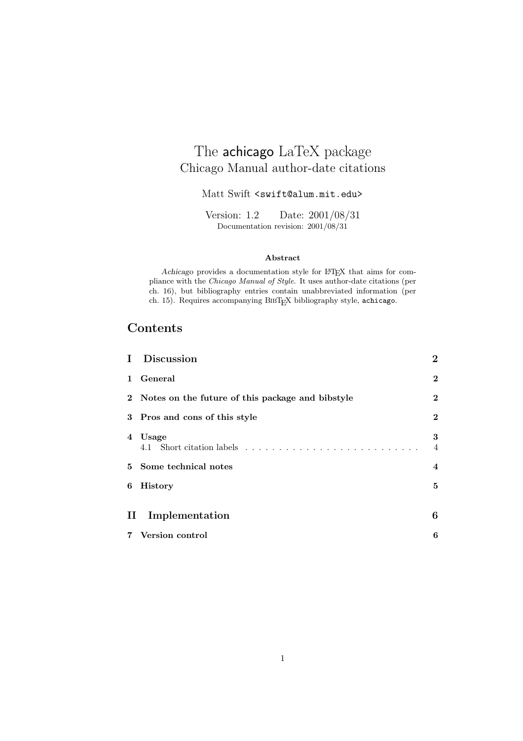# Chicago Manual author-date citations

Matt Swift <swift@alum.mit.edu>

Version: 1.2 Date: 2001/08/31 Documentation revision: 2001/08/31

#### **Abstract**

*Achicago* provides a documentation style for LATEX that aims for compliance with the *Chicago Manual of Style*. It uses author-date citations (per ch. 16), but bibliography entries contain unabbreviated information (per ch. 15). Requires accompanying BIBT<sub>E</sub>X bibliography style, achicago.

# **Contents**

| L            | <b>Discussion</b>                                  | $\bf{2}$                |
|--------------|----------------------------------------------------|-------------------------|
| $\mathbf{1}$ | General                                            | $\bf{2}$                |
|              | 2 Notes on the future of this package and bibstyle | $\bf{2}$                |
|              | 3 Pros and cons of this style                      | $\mathbf{2}$            |
| 4            | Usage                                              | 3<br>4                  |
|              | 5 Some technical notes                             | $\overline{\mathbf{4}}$ |
| 6            | <b>History</b>                                     | 5                       |
| $\rm II$     | Implementation                                     | 6                       |
| 7            | Version control                                    | 6                       |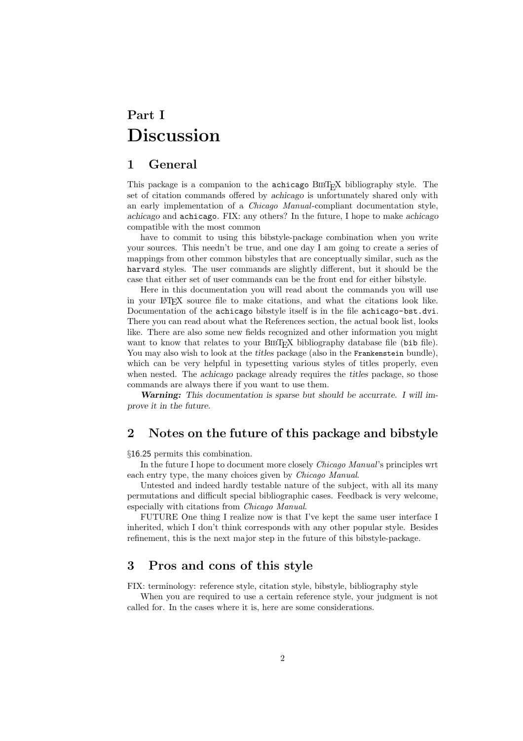# **Part I Discussion**

### **1 General**

This package is a companion to the achicago BIBT<sub>E</sub>X bibliography style. The set of citation commands offered by *achicago* is unfortunately shared only with an early implementation of a *Chicago Manual*-compliant documentation style, *achicago* and achicago. FIX: any others? In the future, I hope to make *achicago* compatible with the most common

have to commit to using this bibstyle-package combination when you write your sources. This needn't be true, and one day I am going to create a series of mappings from other common bibstyles that are conceptually similar, such as the harvard styles. The user commands are slightly different, but it should be the case that either set of user commands can be the front end for either bibstyle.

Here in this documentation you will read about the commands you will use in your LATEX source file to make citations, and what the citations look like. Documentation of the achicago bibstyle itself is in the file achicago-bst.dvi. There you can read about what the References section, the actual book list, looks like. There are also some new fields recognized and other information you might want to know that relates to your BIBT<sub>E</sub>X bibliography database file (bib file). You may also wish to look at the *titles* package (also in the Frankenstein bundle). which can be very helpful in typesetting various styles of titles properly, even when nested. The *achicago* package already requires the *titles* package, so those commands are always there if you want to use them.

*Warning: This documentation is sparse but should be accurrate. I will improve it in the future.*

### **2 Notes on the future of this package and bibstyle**

§16.25 permits this combination.

In the future I hope to document more closely *Chicago Manual*'s principles wrt each entry type, the many choices given by *Chicago Manual*.

Untested and indeed hardly testable nature of the subject, with all its many permutations and difficult special bibliographic cases. Feedback is very welcome, especially with citations from *Chicago Manual*.

FUTURE One thing I realize now is that I've kept the same user interface I inherited, which I don't think corresponds with any other popular style. Besides refinement, this is the next major step in the future of this bibstyle-package.

### **3 Pros and cons of this style**

FIX: terminology: reference style, citation style, bibstyle, bibliography style

When you are required to use a certain reference style, your judgment is not called for. In the cases where it is, here are some considerations.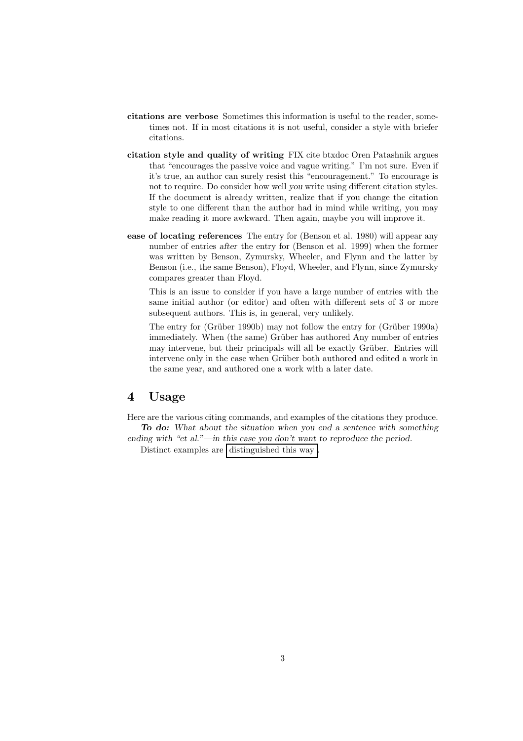- **citations are verbose** Sometimes this information is useful to the reader, sometimes not. If in most citations it is not useful, consider a style with briefer citations.
- **citation style and quality of writing** FIX cite btxdoc Oren Patashnik argues that "encourages the passive voice and vague writing." I'm not sure. Even if it's true, an author can surely resist this "encouragement." To encourage is not to require. Do consider how well *you* write using different citation styles. If the document is already written, realize that if you change the citation style to one different than the author had in mind while writing, you may make reading it more awkward. Then again, maybe you will improve it.
- **ease of locating references** The entry for (Benson et al. 1980) will appear any number of entries *after* the entry for (Benson et al. 1999) when the former was written by Benson, Zymursky, Wheeler, and Flynn and the latter by Benson (i.e., the same Benson), Floyd, Wheeler, and Flynn, since Zymursky compares greater than Floyd.

This is an issue to consider if you have a large number of entries with the same initial author (or editor) and often with different sets of 3 or more subsequent authors. This is, in general, very unlikely.

The entry for (Grüber 1990b) may not follow the entry for (Grüber 1990a) immediately. When (the same) Grüber has authored Any number of entries may intervene, but their principals will all be exactly Grüber. Entries will intervene only in the case when Grüber both authored and edited a work in the same year, and authored one a work with a later date.

# **4 Usage**

Here are the various citing commands, and examples of the citations they produce. *To do: What about the situation when you end a sentence with something ending with "et al."—in this case you don't want to reproduce the period.*

Distinct examples are distinguished this way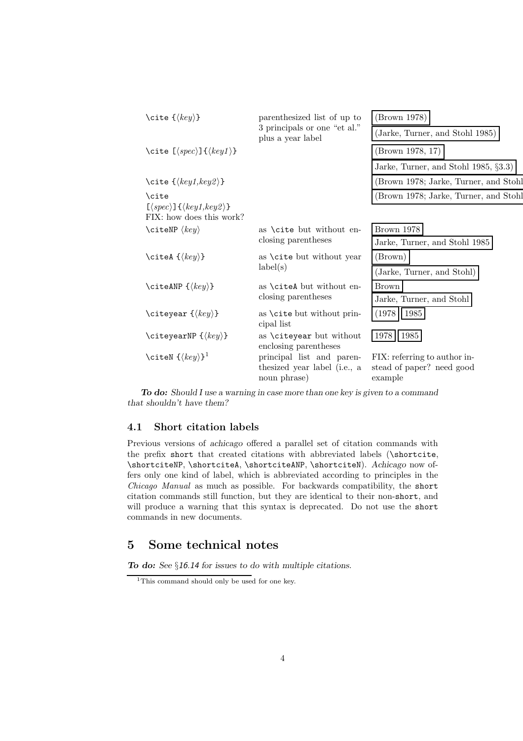| \cite $\{\langle key \rangle\}$                                                                           | parenthesized list of up to                       | (Brown 1978)                          |
|-----------------------------------------------------------------------------------------------------------|---------------------------------------------------|---------------------------------------|
|                                                                                                           | 3 principals or one "et al."<br>plus a year label | (Jarke, Turner, and Stohl 1985)       |
| \cite $[\langle spec \rangle] {\langle key1 \rangle}$ }                                                   |                                                   | (Brown 1978, 17)                      |
|                                                                                                           |                                                   | Jarke, Turner, and Stohl 1985, §3.3)  |
| \cite $\{\langle key1, key2 \rangle\}$                                                                    |                                                   | (Brown 1978; Jarke, Turner, and Stohl |
| \cite                                                                                                     |                                                   | (Brown 1978; Jarke, Turner, and Stohl |
| $\left[\langle spec \rangle\right] \left\{\langle key1, key2 \rangle\right\}$<br>FIX: how does this work? |                                                   |                                       |
| \citeNP $\langle key \rangle$                                                                             | as \cite but without en-<br>closing parentheses   | Brown 1978                            |
|                                                                                                           |                                                   | Jarke, Turner, and Stohl 1985         |
| \citeA $\{\langle key \rangle\}$                                                                          | as <b>\cite</b> but without year<br>label(s)      | (Brown)                               |
|                                                                                                           |                                                   | (Jarke, Turner, and Stohl)            |
| \citeANP $\{\langle key \rangle\}$                                                                        | as \citeA but without en-                         | Brown                                 |
|                                                                                                           | closing parentheses                               | Jarke, Turner, and Stohl              |
| \citeyear $\{\langle key \rangle\}$                                                                       | as \cite but without prin-<br>cipal list          | (1978)<br>1985                        |
| \citeyearNP $\{\langle key \rangle\}$                                                                     | as \citeyear but without<br>enclosing parentheses | 1978<br>1985                          |
| \citeN $\{\langle key \rangle\}^1$                                                                        | principal list and paren-                         | FIX: referring to author in-          |
|                                                                                                           | thesized year label (i.e., a                      | stead of paper? need good             |
|                                                                                                           | noun phrase)                                      | example                               |

*To do: Should I use a warning in case more than one key is given to a command that shouldn't have them?*

#### **4.1 Short citation labels**

Previous versions of *achicago* offered a parallel set of citation commands with the prefix short that created citations with abbreviated labels (\shortcite, \shortciteNP, \shortciteA, \shortciteANP, \shortciteN). *Achicago* now offers only one kind of label, which is abbreviated according to principles in the *Chicago Manual* as much as possible. For backwards compatibility, the short citation commands still function, but they are identical to their non-short, and will produce a warning that this syntax is deprecated. Do not use the short commands in new documents.

# **5 Some technical notes**

*To do: See* §*16.14 for issues to do with multiple citations.*

<sup>&</sup>lt;sup>1</sup>This command should only be used for one key.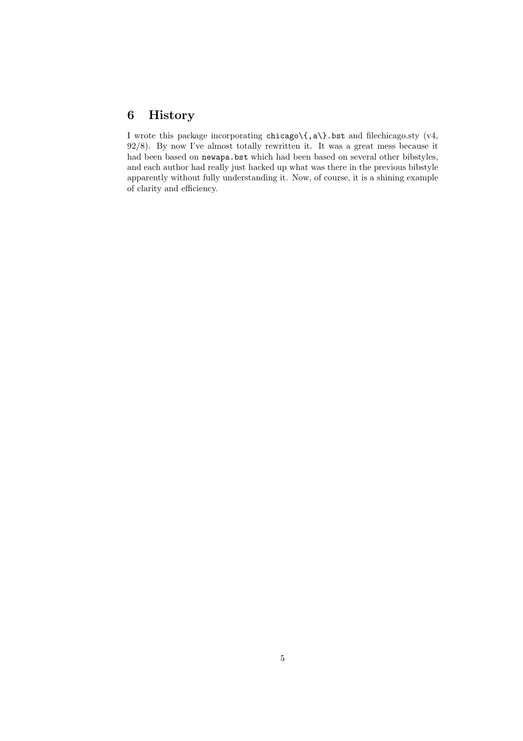# **6 History**

I wrote this package incorporating chicago\{,a\}.bst and filechicago.sty (v4, 92/8). By now I've almost totally rewritten it. It was a great mess because it had been based on newapa.bst which had been based on several other bibstyles, and each author had really just hacked up what was there in the previous bibstyle apparently without fully understanding it. Now, of course, it is a shining example of clarity and efficiency.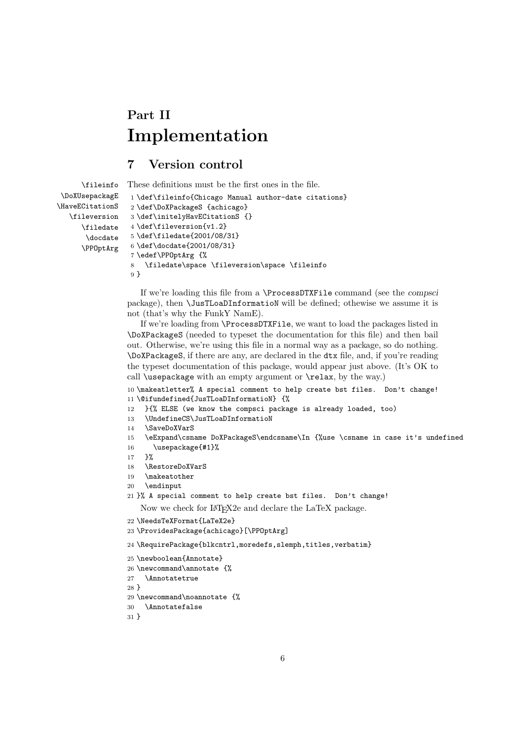# **Part II Implementation**

# **7 Version control**

```
\fileinfo
 \DoXUsepackagE
\HaveECitationS
   \fileversion
      \filedate
       \docdate
      \PPOptArg
                 These definitions must be the first ones in the file.
                  1 \def\fileinfo{Chicago Manual author-date citations}
                  2 \def\DoXPackageS {achicago}
                  3 \def\initelyHavECitationS {}
                  4 \def\fileversion{v1.2}
                  5 \def\filedate{2001/08/31}
                  6 \def\docdate{2001/08/31}
                  7 \edef\PPOptArg {%
                  8 \filedate\space \fileversion\space \fileinfo
                  9 }
```
If we're loading this file from a \ProcessDTXFile command (see the *compsci* package), then \JusTLoaDInformatioN will be defined; othewise we assume it is not (that's why the FunkY NamE).

If we're loading from \ProcessDTXFile, we want to load the packages listed in \DoXPackageS (needed to typeset the documentation for this file) and then bail out. Otherwise, we're using this file in a normal way as a package, so do nothing. \DoXPackageS, if there are any, are declared in the dtx file, and, if you're reading the typeset documentation of this package, would appear just above. (It's OK to call \usepackage with an empty argument or \relax, by the way.)

 \makeatletter% A special comment to help create bst files. Don't change! \@ifundefined{JusTLoaDInformatioN} {%

- }{% ELSE (we know the compsci package is already loaded, too)
- \UndefineCS\JusTLoaDInformatioN
- \SaveDoXVarS
- \eExpand\csname DoXPackageS\endcsname\In {%use \csname in case it's undefined
- \usepackage{#1}%
- }%
- \RestoreDoXVarS
- \makeatother
- \endinput
- }% A special comment to help create bst files. Don't change!
	- Now we check for LAT<sub>E</sub>X2e and declare the LaTeX package.
- \NeedsTeXFormat{LaTeX2e}
- \ProvidesPackage{achicago}[\PPOptArg]

\RequirePackage{blkcntrl,moredefs,slemph,titles,verbatim}

- \newboolean{Annotate}
- \newcommand\annotate {%
- \Annotatetrue

}

- \newcommand\noannotate {%
- \Annotatefalse

}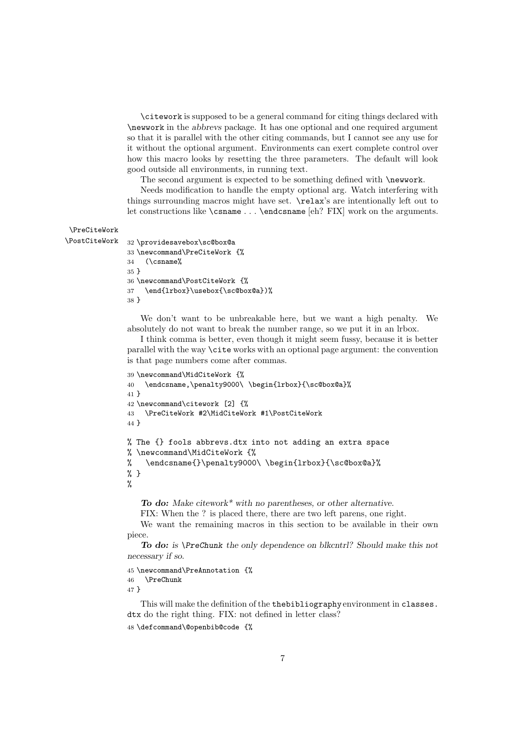\citework is supposed to be a general command for citing things declared with \newwork in the *abbrevs* package. It has one optional and one required argument so that it is parallel with the other citing commands, but I cannot see any use for it without the optional argument. Environments can exert complete control over how this macro looks by resetting the three parameters. The default will look good outside all environments, in running text.

The second argument is expected to be something defined with \newwork.

Needs modification to handle the empty optional arg. Watch interfering with things surrounding macros might have set. \relax's are intentionally left out to let constructions like \csname ... \endcsname [eh? FIX] work on the arguments.

### \PreCiteWork

```
\PostCiteWork 32 \providesavebox\sc@box@a
```

```
33 \newcommand\PreCiteWork {%
34 (\csname%
35 }
36 \newcommand\PostCiteWork {%
37 \end{lrbox}\usebox{\sc@box@a})%
38 }
```
We don't want to be unbreakable here, but we want a high penalty. We absolutely do not want to break the number range, so we put it in an lrbox.

I think comma is better, even though it might seem fussy, because it is better parallel with the way \cite works with an optional page argument: the convention is that page numbers come after commas.

```
39 \newcommand\MidCiteWork {%
40 \endcsname,\penalty9000\ \begin{lrbox}{\sc@box@a}%
41 }
42 \newcommand\citework [2] {%
43 \PreCiteWork #2\MidCiteWork #1\PostCiteWork
44 }
% The {} fools abbrevs.dtx into not adding an extra space
% \newcommand\MidCiteWork {%
% \endcsname{}\penalty9000\ \begin{lrbox}{\sc@box@a}%
% }
%
```
*To do: Make citework\* with no parentheses, or other alternative.* FIX: When the ? is placed there, there are two left parens, one right.

We want the remaining macros in this section to be available in their own piece.

*To do: is \PreChunk the only dependence on blkcntrl? Should make this not necessary if so.*

```
45 \newcommand\PreAnnotation {%
46 \PreChunk
47 }
```
This will make the definition of the thebibliography environment in classes. dtx do the right thing. FIX: not defined in letter class?

```
48 \defcommand\@openbib@code {%
```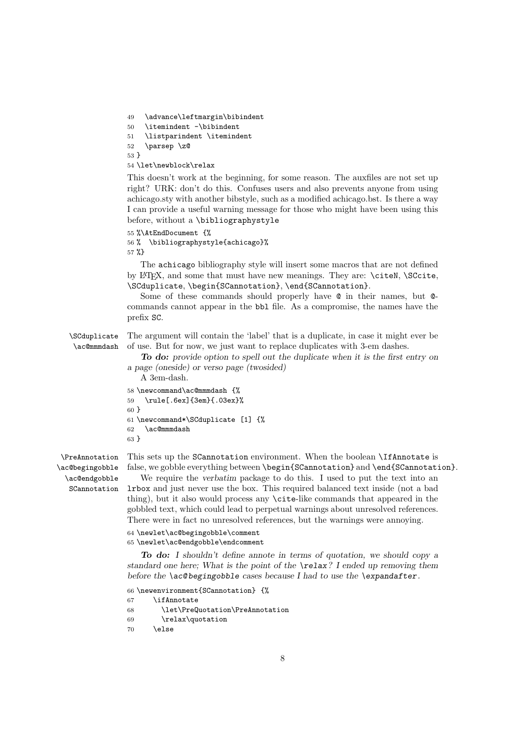49 \advance\leftmargin\bibindent

50 \itemindent -\bibindent

51 \listparindent \itemindent

52 \parsep \z@

53 }

54 \let\newblock\relax

This doesn't work at the beginning, for some reason. The auxfiles are not set up right? URK: don't do this. Confuses users and also prevents anyone from using achicago.sty with another bibstyle, such as a modified achicago.bst. Is there a way I can provide a useful warning message for those who might have been using this before, without a \bibliographystyle

```
55 %\AtEndDocument {%
```
56 % \bibliographystyle{achicago}% 57 %}

The achicago bibliography style will insert some macros that are not defined by LATEX, and some that must have new meanings. They are: \citeN, \SCcite, \SCduplicate, \begin{SCannotation}, \end{SCannotation}.

Some of these commands should properly have @ in their names, but @ commands cannot appear in the bbl file. As a compromise, the names have the prefix SC.

\SCduplicate \ac@mmmdash The argument will contain the 'label' that is a duplicate, in case it might ever be of use. But for now, we just want to replace duplicates with 3-em dashes.

> *To do: provide option to spell out the duplicate when it is the first entry on a page (oneside) or verso page (twosided)*

```
A 3em-dash.
58 \newcommand\ac@mmmdash {%
59 \rule[.6ex]{3em}{.03ex}%
60 }
61 \newcommand*\SCduplicate [1] {%
62 \ac@mmmdash
63 }
```
\PreAnnotation \ac@begingobble \ac@endgobble SCannotation This sets up the SCannotation environment. When the boolean \IfAnnotate is false, we gobble everything between \begin{SCannotation} and \end{SCannotation}.

We require the *verbatim* package to do this. I used to put the text into an lrbox and just never use the box. This required balanced text inside (not a bad thing), but it also would process any \cite-like commands that appeared in the gobbled text, which could lead to perpetual warnings about unresolved references. There were in fact no unresolved references, but the warnings were annoying.

64 \newlet\ac@begingobble\comment 65 \newlet\ac@endgobble\endcomment

*To do: I shouldn't define annote in terms of quotation, we should copy a standard one here; What is the point of the \relax? I ended up removing them before the \ac@ begingobble cases because I had to use the \expandafter.*

```
66 \newenvironment{SCannotation} {%
67 \ifAnnotate
68 \let\PreQuotation\PreAnnotation
69 \relax\quotation
70 \else
```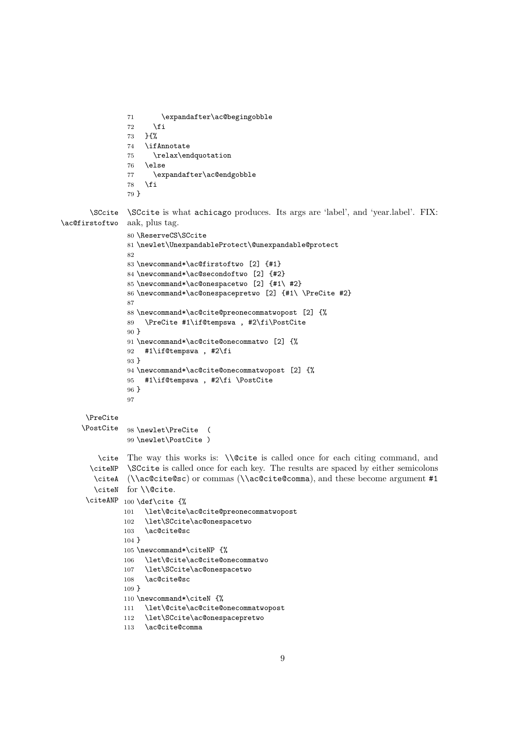```
71 \expandafter\ac@begingobble
72 \foralli
73 }{%
74 \ifAnnotate
75 \relax\endquotation
76 \else
77 \expandafter\ac@endgobble
78 \fi
79 }
```
\SCcite \ac@firstoftwo aak, plus tag. \SCcite is what achicago produces. Its args are 'label', and 'year.label'. FIX:

```
80 \ReserveCS\SCcite
           81 \newlet\UnexpandableProtect\@unexpandable@protect
           82
           83 \newcommand*\ac@firstoftwo [2] {#1}
           84 \newcommand*\ac@secondoftwo [2] {#2}
           85 \newcommand*\ac@onespacetwo [2] {#1\ #2}
           86 \newcommand*\ac@onespacepretwo [2] {#1\ \PreCite #2}
           87
           88 \newcommand*\ac@cite@preonecommatwopost [2] {%
           89 \PreCite #1\if@tempswa , #2\fi\PostCite
           90 }
           91 \newcommand*\ac@cite@onecommatwo [2] {%
           92 #1\if@tempswa , #2\fi
           93 }
           94 \newcommand*\ac@cite@onecommatwopost [2] {%
           95 #1\if@tempswa , #2\fi \PostCite
           96 }
           97
 \PreCite
\PostCite 98 \newlet\PreCite (
           99 \newlet\PostCite )
    \cite
The way this works is: \\@cite is called once for each citing command, and
  \citeNP
\SCcite is called once for each key. The results are spaced by either semicolons
   \citeA
(\\ac@cite@sc) or commas (\\ac@cite@comma), and these become argument #1
   \citeN
for \\@cite.
 \citeANP _{100} \def\cite {%
          101 \let\@cite\ac@cite@preonecommatwopost
          102 \let\SCcite\ac@onespacetwo
          103 \ac@cite@sc
          104 }
          105 \newcommand*\citeNP {%
          106 \let\@cite\ac@cite@onecommatwo
          107 \let\SCcite\ac@onespacetwo
          108 \ac@cite@sc
          109 }
          110 \newcommand*\citeN {%
          111 \let\@cite\ac@cite@onecommatwopost
          112 \let\SCcite\ac@onespacepretwo
          113 \ac@cite@comma
```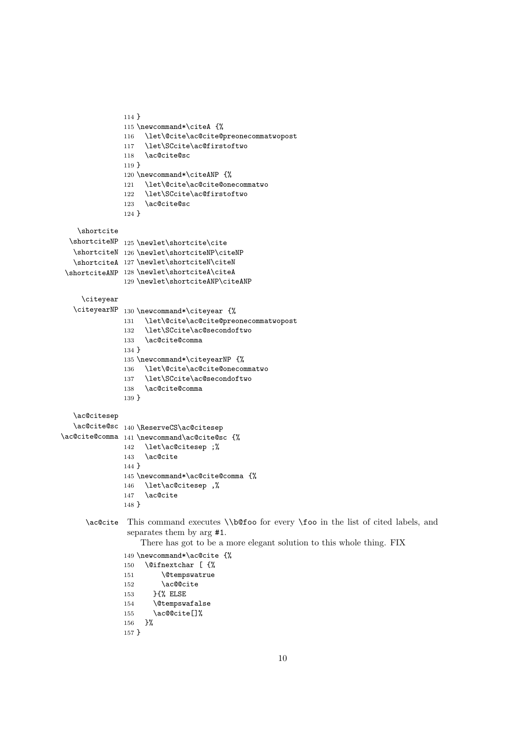```
114 }
               115 \newcommand*\citeA {%
               116 \let\@cite\ac@cite@preonecommatwopost
               117 \let\SCcite\ac@firstoftwo
               118 \ac@cite@sc
               119 }
               120 \newcommand*\citeANP {%
               121 \let\@cite\ac@cite@onecommatwo
               122 \let\SCcite\ac@firstoftwo
               123 \ac@cite@sc
               124 }
   \shortcite
  \shortciteNP
125 \newlet\shortcite\cite
   \shortciteN
126 \newlet\shortciteNP\citeNP
   \shortciteA
127 \newlet\shortciteN\citeN
 \shortciteANP
128 \newlet\shortciteA\citeA
               129 \newlet\shortciteANP\citeANP
    \citeyear
  \citeyearNP 130 \newcommand*\citeyear {%
               131 \let\@cite\ac@cite@preonecommatwopost
               132 \let\SCcite\ac@secondoftwo
               133 \ac@cite@comma
               134 }
               135 \newcommand*\citeyearNP {%
               136 \let\@cite\ac@cite@onecommatwo
               137 \let\SCcite\ac@secondoftwo
               138 \ac@cite@comma
               139 }
  \ac@citesep
   \ac@cite@sc
140 \ReserveCS\ac@citesep
\ac@cite@comma
141 \newcommand\ac@cite@sc {%
              142 \let\ac@citesep ;%
              143 \ac@cite
               144 }
               145 \newcommand*\ac@cite@comma {%
               146 \let\ac@citesep ,%
               147 \ac@cite
               148 }
     \ac@cite This command executes \\b@foo for every \foo in the list of cited labels, and
               separates them by arg #1.
                   There has got to be a more elegant solution to this whole thing. FIX
               149 \newcommand*\ac@cite {%
               150 \@ifnextchar [ {%
               151 \@tempswatrue
               152 \ac@@cite
               153 }{% ELSE<br>154 \@tempsw
                      \@tempswafalse
               155 \ac@@cite[]%
               156 }%
               157 }
```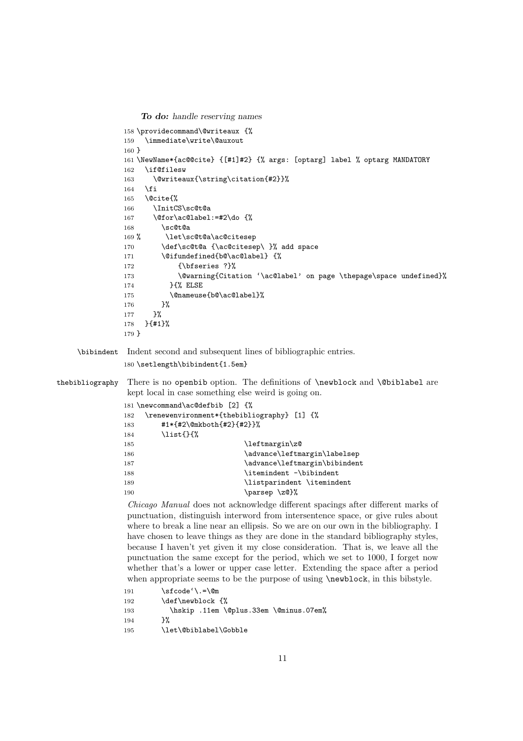*To do: handle reserving names*

```
158 \providecommand\@writeaux {%
               159 \immediate\write\@auxout
               160 }
               161 \NewName*{ac@@cite} {[#1]#2} {% args: [optarg] label % optarg MANDATORY
               162 \if@filesw
               163 \@writeaux{\string\citation{#2}}%
               164 \fi
               165 \@cite{%
               166 \InitCS\sc@t@a
               167 \@for\ac@label:=#2\do {%
               168 \sc@t@a
               169 % \let\sc@t@a\ac@citesep
               170 \def\sc@t@a {\ac@citesep\ }% add space
               171 \@ifundefined{b@\ac@label} {%
               172 {\bfseries ?}%
               173 \@warning{Citation '\ac@label' on page \thepage\space undefined}%
               174 }{% ELSE
               175 \@nameuse{b@\ac@label}%
               176 }%
               177 }%
               178 }{#1}%
               179 }
    \bibindent Indent second and subsequent lines of bibliographic entries.
               180 \setlength\bibindent{1.5em}
thebibliography There is no openbib option. The definitions of \newblock and \@biblabel are
                kept local in case something else weird is going on.
               181 \newcommand\ac@defbib [2] {%
               182 \renewenvironment*{thebibliography} [1] {%
               183 #1*{#2\@mkboth{#2}{#2}}%
               184 \list{}{%
```

```
185 \leftmargin\z@
186 \advance\leftmargin\labelsep
187 \dvance\leftmargin\bibindent
188 \itemindent -\bibindent
189 \listparindent \itemindent
190 \parsep \zQ}%
```
*Chicago Manual* does not acknowledge different spacings after different marks of punctuation, distinguish interword from intersentence space, or give rules about where to break a line near an ellipsis. So we are on our own in the bibliography. I have chosen to leave things as they are done in the standard bibliography styles, because I haven't yet given it my close consideration. That is, we leave all the punctuation the same except for the period, which we set to 1000, I forget now whether that's a lower or upper case letter. Extending the space after a period when appropriate seems to be the purpose of using  $\newcommand{\mbox}{\mbox{a}}$  hewblock, in this bibstyle.

```
191 \sfcode'\.=\@m
       \def\newblock {%
193 \hskip .11em \@plus.33em \@minus.07em%
194 }%
195 \let\@biblabel\Gobble
```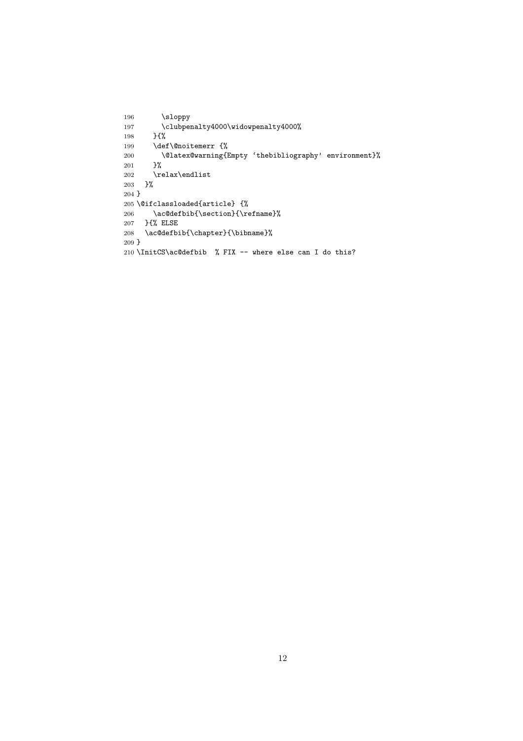```
196 \sloppy
197 \clubpenalty4000\widowpenalty4000%
198 }{%
199 \def\@noitemerr {%
200 \\$latex@warning{Empty 'thebibliography' environment}%<br>201 }%
201202 \relax\endlist
203 }%
204 }
205 \@ifclassloaded{article} {%
206 \ac@defbib{\section}{\refname}%
207 }{% ELSE<br>208 \ac@defbi
    \ac@defbib{\chapter}{\bibname}%
209 }
210 \InitCS\ac@defbib % FIX -- where else can I do this?
```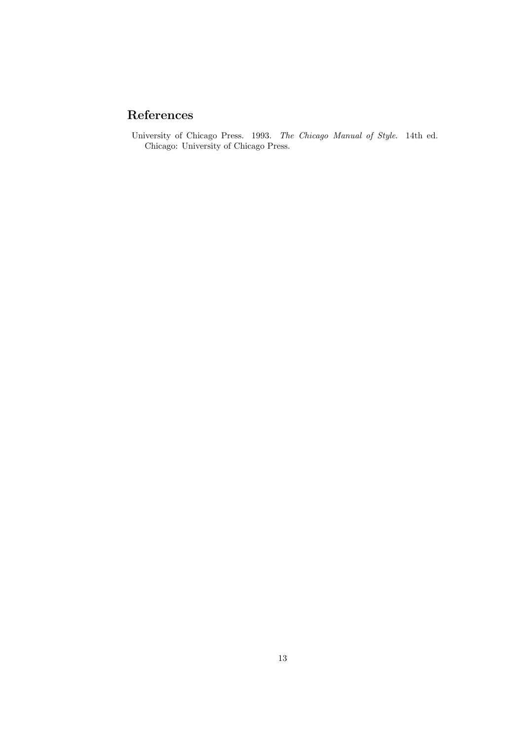# **References**

University of Chicago Press. 1993. *The Chicago Manual of Style*. 14th ed. Chicago: University of Chicago Press.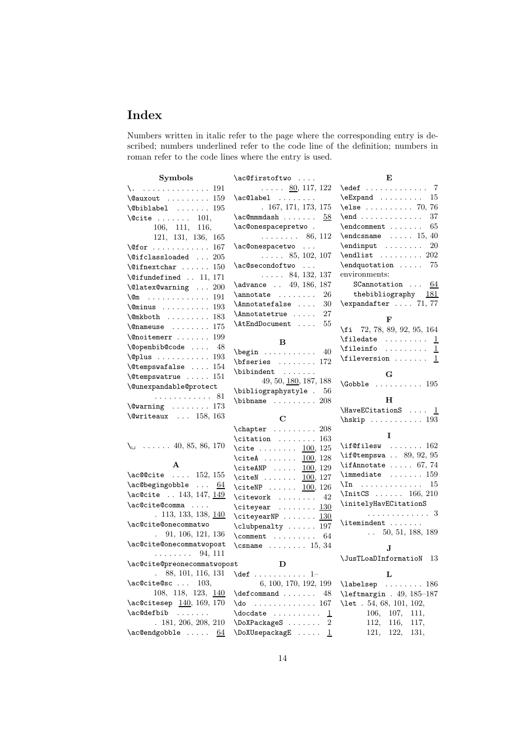# **Index**

Numbers written in italic refer to the page where the corresponding entry is described; numbers underlined refer to the code line of the definition; numbers in roman refer to the code lines where the entry is used.

| ${\bf Symbols}$                               | \ac@firstoftwo                                      | E                                              |  |  |  |
|-----------------------------------------------|-----------------------------------------------------|------------------------------------------------|--|--|--|
| \. 191                                        | $\ldots$ $80, 117, 122$                             | $\text{led}$                                   |  |  |  |
| $\text{Quxout}$ 159                           | $\ac@label$                                         | $\text{Expand} \dots \dots \dots 15$           |  |  |  |
| $\verb+\Qbiblabel + \dots + 195$              | . 167, 171, 173, 175                                | $\text{else} \dots \dots \dots \dots \ 70, 76$ |  |  |  |
| $\text{Qcite} \dots \dots \quad 101.$         | \ac@mmmdash<br>58                                   | $\endots \dots$<br>37                          |  |  |  |
| 106, 111, 116,                                | \ac@onespacepretwo.                                 | $\end{moment} \ldots$<br>65                    |  |  |  |
| 121, 131, 136, 165                            | $\ldots \ldots 86, 112$                             | $\end{math}$ 15, 40                            |  |  |  |
| $\sqrt{\text{Cfor}}$ 167                      | \ac@onespacetwo                                     | $\end{input}$<br>20                            |  |  |  |
| $\text{Qifclassloaded} \dots 205$             | $\ldots$ 85, 102, 107                               | $\end{list}$ 202                               |  |  |  |
| $\verb+\@ifnextchar +\dots+ 150$              | \ac@secondoftwo<br>$\cdot$ $\cdot$ $\cdot$          | $\end{quot}$ 75                                |  |  |  |
| $\text{Qifundefined}$ 11, 171                 | $\ldots$ 84, 132, 137                               | environments:                                  |  |  |  |
| \@latex@warning  200                          | \advance  49, 186, 187                              | SCannotation $\ldots$ 64                       |  |  |  |
| $\sqrt{2m}$ 191                               | $\mathcal{L}$<br>26                                 | thebibliography $181$                          |  |  |  |
| $\text{Ominus}$ 193                           | \Annotatefalse<br>30                                | $\text{expandafter} \dots 71, 77$              |  |  |  |
| $\mathrm{\&Rh}\ldots\ldots\ldots\ 183$        | \Annotatetrue<br>27                                 |                                                |  |  |  |
| $\{\n$ enameuse  175                          | \AtEndDocument<br>55                                | F                                              |  |  |  |
|                                               |                                                     | \fi 72, 78, 89, 92, 95, 164                    |  |  |  |
| $\sqrt{q}$ noitemerr  199                     | B                                                   |                                                |  |  |  |
| $\text{Qopenbib@code  48}$                    | $\begin{bmatrix} \text{begin} 0 \\ 0 \end{bmatrix}$ | $\tilde{1}$                                    |  |  |  |
| $\Q$ plus  193                                | $\bf{\text{b}f}$ 172                                | <b>\fileversion</b> <u>1</u>                   |  |  |  |
| $\text{C}$ tempswafalse  154                  | \bibindent                                          | G                                              |  |  |  |
| $\text{Vetempswatrue}$ 151                    | 49, 50, 180, 187, 188                               | $\text{Cobble}$ 195                            |  |  |  |
| \@unexpandable@protect                        | \bibliographystyle . 56                             |                                                |  |  |  |
| . 81                                          | $\blacksquare$ 208                                  | н                                              |  |  |  |
| $\text{Vavarning} \dots \dots \dots 173$      |                                                     | $\text{MaveECitationS} \dots \underline{1}$    |  |  |  |
| $\text{Qwriteaux} \dots 158, 163$             | $\mathbf C$                                         | $\hbox{\tt hskip} \ldots \ldots \ldots 193$    |  |  |  |
|                                               | $\text{Chapter} \dots \dots \dots 208$              |                                                |  |  |  |
|                                               | $\text{citation} \dots \dots 163$                   | I                                              |  |  |  |
| $\lambda_{\square}$ 40, 85, 86, 170           | \cite <u>100</u> , 125                              | $\left\{\right.\left\ \right\ $ 162            |  |  |  |
|                                               | \citeA 100, 128                                     | $\iota$ if@tempswa  89, 92, 95                 |  |  |  |
| A                                             | \citeANP $\ldots$ $\frac{100}{129}$                 | \ifAnnotate $\ldots$ 67, 74                    |  |  |  |
| $\operatorname{Jac}\mathbb{Q}$ cite  152, 155 | \citeN $100, 127$                                   | $\lambda$ immediate $\ldots \ldots \ldots$ 159 |  |  |  |
| $\ac0$ begingobble $64$                       | \citeNP 100, 126                                    | $\ln$ 15                                       |  |  |  |
| \ac@cite  143, 147, 149                       | $\text{Citework}$ 42                                | \InitCS  166, 210                              |  |  |  |
| \ac@cite@comma                                | \citeyear $\dots\dots\ 130$                         | \initelyHavECitationS                          |  |  |  |
| . 113, 133, 138, 140                          | \citeyearNP $130$                                   | . 3                                            |  |  |  |
| \ac@cite@onecommatwo                          | \clubpenalty  197                                   | \itemindent                                    |  |  |  |
| 91, 106, 121, 136<br>$\mathbf{L}$             | $\mathrm{Comment} \ldots \ldots$<br>64              | $\ldots$ 50, 51, 188, 189                      |  |  |  |
| \ac@cite@onecommatwopost                      | $\{\text{csname} \dots \dots \ 15, 34\}$            | Л                                              |  |  |  |
| .<br>94, 111                                  |                                                     | \JusTLoaDInformatioN 13                        |  |  |  |
| \ac@cite@preonecommatwopost<br>D              |                                                     |                                                |  |  |  |
| 88, 101, 116, 131<br>$\ddot{\phantom{0}}$     | $\det$ 1-                                           | L                                              |  |  |  |
| $\operatorname{ac@cite@sc}$ 103,              | 6, 100, 170, 192, 199                               | \labelsep<br>. 186                             |  |  |  |
| 108, 118, 123, 140                            | $\defcommand$<br>48                                 | $\left\{$ 1eftmargin . 49, 185-187\right\}     |  |  |  |
| \ac@citesep 140, 169, 170                     | $\text{do} \dots \dots \dots \dots \ 167$           | \let $.54, 68, 101, 102,$                      |  |  |  |
| \ac@defbib<br>$\sim$                          | \docdate <u>1</u>                                   | 106,<br>107,<br>111,                           |  |  |  |
| . 181, 206, 208, 210                          | $\Delta$ PoXPackageS  2                             | 112,<br>116,<br>117,                           |  |  |  |
|                                               | \DoXUsepackagE <u>1</u>                             | 122,<br>121,<br>131,                           |  |  |  |
|                                               |                                                     |                                                |  |  |  |